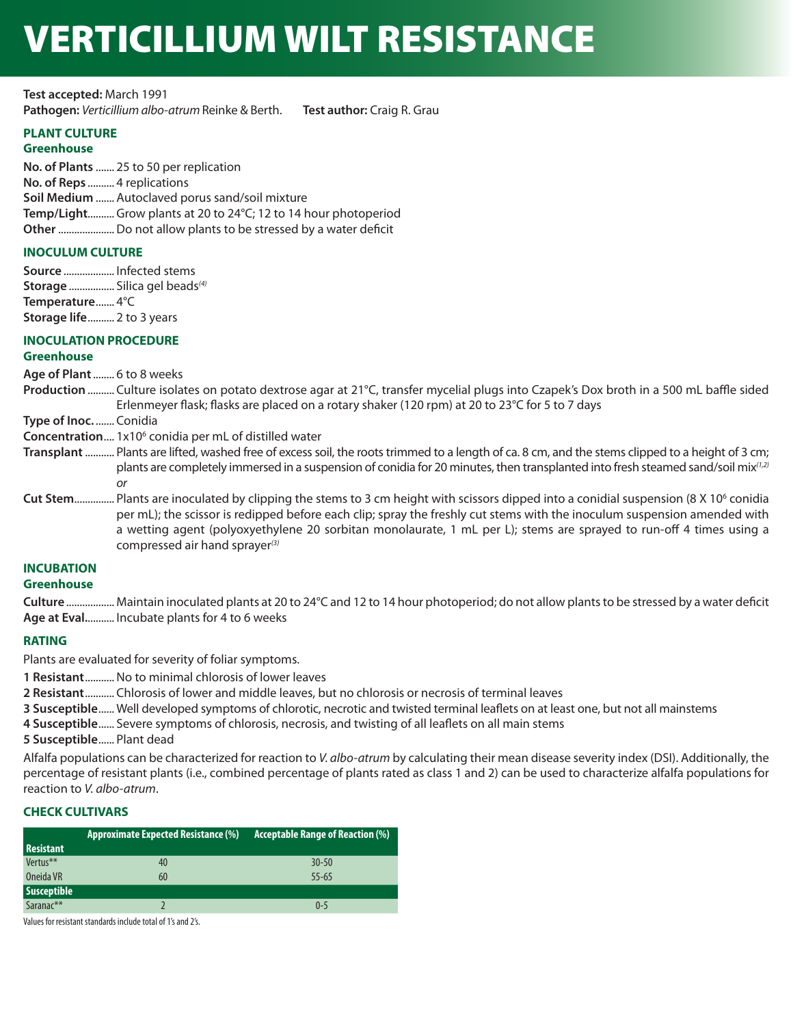# VERTICILLIUM WILT RESISTANCE

**Test accepted:** March 1991 **Pathogen:** *Verticillium albo-atrum* Reinke & Berth. **Test author:** Craig R. Grau

#### **PLANT CULTURE**

#### **Greenhouse**

**No. of Plants** ....... 25 to 50 per replication **No. of Reps** .......... 4 replications **Soil Medium** ....... Autoclaved porus sand/soil mixture **Temp/Light**.......... Grow plants at 20 to 24°C; 12 to 14 hour photoperiod **Other**.....................Do not allow plants to be stressed by a water deficit

#### **INOCULUM CULTURE**

**Source** ................... Infected stems **Storage** ................. Silica gel beads*(4)* **Temperature**....... 4°C **Storage life**.......... 2 to 3 years

## **INOCULATION PROCEDURE**

#### **Greenhouse**

**Age of Plant** ........ 6 to 8 weeks

**Production** .......... Culture isolates on potato dextrose agar at 21°C, transfer mycelial plugs into Czapek's Dox broth in a 500 mL baffle sided Erlenmeyer flask; flasks are placed on a rotary shaker (120 rpm) at 20 to 23°C for 5 to 7 days

**Type of Inoc.** ....... Conidia

- **Concentration....** 1x10<sup>6</sup> conidia per mL of distilled water
- **Transplant** ........... Plants are lifted, washed free of excess soil, the roots trimmed to a length of ca. 8 cm, and the stems clipped to a height of 3 cm; plants are completely immersed in a suspension of conidia for 20 minutes, then transplanted into fresh steamed sand/soil mix*(1,2) or*
- **Cut Stem**............... Plants are inoculated by clipping the stems to 3 cm height with scissors dipped into a conidial suspension (8 X 10<sup>6</sup> conidia per mL); the scissor is redipped before each clip; spray the freshly cut stems with the inoculum suspension amended with a wetting agent (polyoxyethylene 20 sorbitan monolaurate, 1 mL per L); stems are sprayed to run-off 4 times using a compressed air hand sprayer*(3)*

#### **INCUBATION**

#### **Greenhouse**

**Culture** .................. Maintain inoculated plants at 20 to 24°C and 12 to 14 hour photoperiod; do not allow plants to be stressed by a water deficit **Age at Eval.**.......... Incubate plants for 4 to 6 weeks

#### **RATING**

Plants are evaluated for severity of foliar symptoms.

**1 Resistant**...........No to minimal chlorosis of lower leaves

**2 Resistant**........... Chlorosis of lower and middle leaves, but no chlorosis or necrosis of terminal leaves

**3 Susceptible**...... Well developed symptoms of chlorotic, necrotic and twisted terminal leaflets on at least one, but not all mainstems

**4 Susceptible**...... Severe symptoms of chlorosis, necrosis, and twisting of all leaflets on all main stems

**5 Susceptible**...... Plant dead

Alfalfa populations can be characterized for reaction to *V. albo-atrum* by calculating their mean disease severity index (DSI). Additionally, the percentage of resistant plants (i.e., combined percentage of plants rated as class 1 and 2) can be used to characterize alfalfa populations for reaction to *V. albo-atrum*.

#### **CHECK CULTIVARS**

|                    | <b>Approximate Expected Resistance (%)</b> | <b>Acceptable Range of Reaction (%)</b> |
|--------------------|--------------------------------------------|-----------------------------------------|
| <b>Resistant</b>   |                                            |                                         |
| Vertus**           | 40                                         | $30 - 50$                               |
| Oneida VR          | 60                                         | $55 - 65$                               |
| <b>Susceptible</b> |                                            |                                         |
| Saranac**          |                                            | $0 - 5$                                 |

Values for resistant standards include total of 1's and 2's.